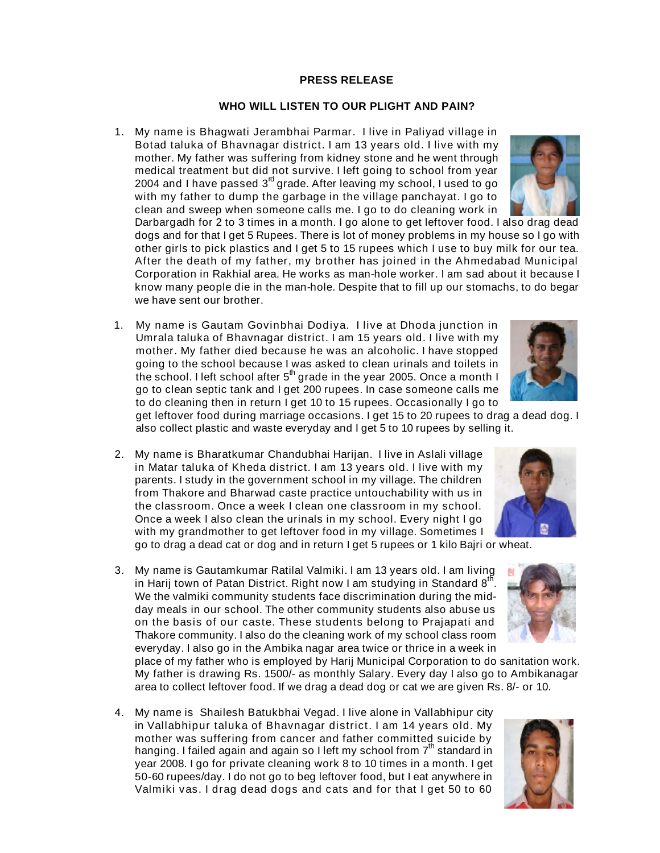## **PRESS RELEASE**

## **WHO WILL LISTEN TO OUR PLIGHT AND PAIN?**

1. My name is Bhagwati Jerambhai Parmar. I live in Paliyad village in Botad taluka of Bhavnagar district. I am 13 years old. I live with my mother. My father was suffering from kidney stone and he went through medical treatment but did not survive. I left going to school from year 2004 and I have passed  $3^{rd}$  grade. After leaving my school, I used to go with my father to dump the garbage in the village panchayat. I go to clean and sweep when someone calls me. I go to do cleaning work in

Darbargadh for 2 to 3 times in a month. I go alone to get leftover food. I also drag dead dogs and for that I get 5 Rupees. There is lot of money problems in my house so I go with other girls to pick plastics and I get 5 to 15 rupees which I use to buy milk for our tea. After the death of my father, my brother has joined in the Ahmedabad Municipal Corporation in Rakhial area. He works as man-hole worker. I am sad about it because I know many people die in the man-hole. Despite that to fill up our stomachs, to do begar we have sent our brother.

1. My name is Gautam Govinbhai Dodiya. I live at Dhoda junction in Umrala taluka of Bhavnagar district. I am 15 years old. I live with my mother. My father died because he was an alcoholic. I have stopped going to the school because I was asked to clean urinals and toilets in the school. I left school after  $5<sup>th</sup>$  grade in the year 2005. Once a month I go to clean septic tank and I get 200 rupees. In case someone calls me to do cleaning then in return I get 10 to 15 rupees. Occasionally I go to

get leftover food during marriage occasions. I get 15 to 20 rupees to drag a dead dog. I also collect plastic and waste everyday and I get 5 to 10 rupees by selling it.

- 2. My name is Bharatkumar Chandubhai Harijan. I live in Aslali village in Matar taluka of Kheda district. I am 13 years old. I live with my parents. I study in the government school in my village. The children from Thakore and Bharwad caste practice untouchability with us in the classroom. Once a week I clean one classroom in my school. Once a week I also clean the urinals in my school. Every night I go with my grandmother to get leftover food in my village. Sometimes I go to drag a dead cat or dog and in return I get 5 rupees or 1 kilo Bajri or wheat.
- 3. My name is Gautamkumar Ratilal Valmiki. I am 13 years old. I am living in Harij town of Patan District. Right now I am studying in Standard  $8<sup>th</sup>$ . We the valmiki community students face discrimination during the midday meals in our school. The other community students also abuse us on the basis of our caste. These students belong to Prajapati and Thakore community. I also do the cleaning work of my school class room everyday. I also go in the Ambika nagar area twice or thrice in a week in

place of my father who is employed by Harij Municipal Corporation to do sanitation work. My father is drawing Rs. 1500/- as monthly Salary. Every day I also go to Ambikanagar area to collect leftover food. If we drag a dead dog or cat we are given Rs. 8/- or 10.

4. My name is Shailesh Batukbhai Vegad. I live alone in Vallabhipur city in Vallabhipur taluka of Bhavnagar district. I am 14 years old. My mother was suffering from cancer and father committed suicide by hanging. I failed again and again so I left my school from  $7<sup>m</sup>$  standard in year 2008. I go for private cleaning work 8 to 10 times in a month. I get 50-60 rupees/day. I do not go to beg leftover food, but I eat anywhere in Valmiki vas. I drag dead dogs and cats and for that I get 50 to 60